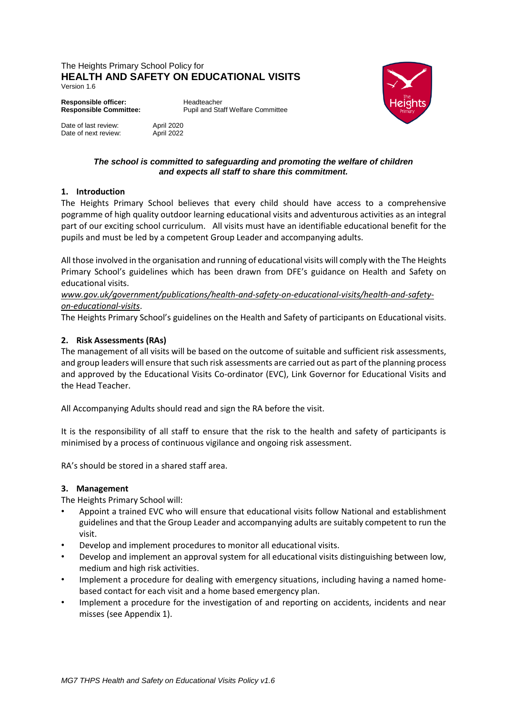#### The Heights Primary School Policy for **HEALTH AND SAFETY ON EDUCATIONAL VISITS** Version 1.6



Date of last review: April 2020<br>Date of next review: April 2022

**Responsible Committee:** Pupil and Staff Welfare Committee



#### *The school is committed to safeguarding and promoting the welfare of children and expects all staff to share this commitment.*

# **1. Introduction**

Date of next review:

The Heights Primary School believes that every child should have access to a comprehensive pogramme of high quality outdoor learning educational visits and adventurous activities as an integral part of our exciting school curriculum. All visits must have an identifiable educational benefit for the pupils and must be led by a competent Group Leader and accompanying adults.

All those involved in the organisation and running of educational visits will comply with the The Heights Primary School's guidelines which has been drawn from DFE's guidance on Health and Safety on educational visits.

### *www.gov.uk/government/publications/health-and-safety-on-educational-visits/health-and-safetyon-educational-visits*.

The Heights Primary School's guidelines on the Health and Safety of participants on Educational visits.

# **2. Risk Assessments (RAs)**

The management of all visits will be based on the outcome of suitable and sufficient risk assessments, and group leaders will ensure that such risk assessments are carried out as part of the planning process and approved by the Educational Visits Co-ordinator (EVC), Link Governor for Educational Visits and the Head Teacher.

All Accompanying Adults should read and sign the RA before the visit.

It is the responsibility of all staff to ensure that the risk to the health and safety of participants is minimised by a process of continuous vigilance and ongoing risk assessment.

RA's should be stored in a shared staff area.

#### **3. Management**

The Heights Primary School will:

- Appoint a trained EVC who will ensure that educational visits follow National and establishment guidelines and that the Group Leader and accompanying adults are suitably competent to run the visit.
- Develop and implement procedures to monitor all educational visits.
- Develop and implement an approval system for all educational visits distinguishing between low, medium and high risk activities.
- Implement a procedure for dealing with emergency situations, including having a named homebased contact for each visit and a home based emergency plan.
- Implement a procedure for the investigation of and reporting on accidents, incidents and near misses (see Appendix 1).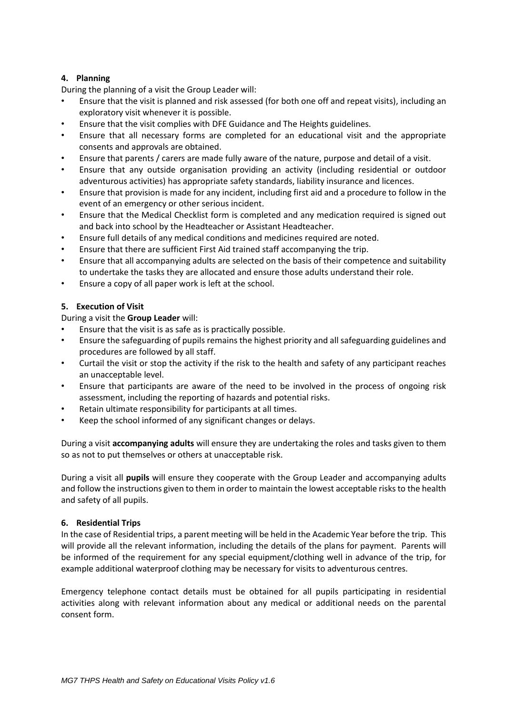## **4. Planning**

During the planning of a visit the Group Leader will:

- Ensure that the visit is planned and risk assessed (for both one off and repeat visits), including an exploratory visit whenever it is possible.
- Ensure that the visit complies with DFE Guidance and The Heights guidelines.
- Ensure that all necessary forms are completed for an educational visit and the appropriate consents and approvals are obtained.
- Ensure that parents / carers are made fully aware of the nature, purpose and detail of a visit.
- Ensure that any outside organisation providing an activity (including residential or outdoor adventurous activities) has appropriate safety standards, liability insurance and licences.
- Ensure that provision is made for any incident, including first aid and a procedure to follow in the event of an emergency or other serious incident.
- Ensure that the Medical Checklist form is completed and any medication required is signed out and back into school by the Headteacher or Assistant Headteacher.
- Ensure full details of any medical conditions and medicines required are noted.
- Ensure that there are sufficient First Aid trained staff accompanying the trip.
- Ensure that all accompanying adults are selected on the basis of their competence and suitability to undertake the tasks they are allocated and ensure those adults understand their role.
- Ensure a copy of all paper work is left at the school.

### **5. Execution of Visit**

During a visit the **Group Leader** will:

- Ensure that the visit is as safe as is practically possible.
- Ensure the safeguarding of pupils remains the highest priority and all safeguarding guidelines and procedures are followed by all staff.
- Curtail the visit or stop the activity if the risk to the health and safety of any participant reaches an unacceptable level.
- Ensure that participants are aware of the need to be involved in the process of ongoing risk assessment, including the reporting of hazards and potential risks.
- Retain ultimate responsibility for participants at all times.
- Keep the school informed of any significant changes or delays.

During a visit **accompanying adults** will ensure they are undertaking the roles and tasks given to them so as not to put themselves or others at unacceptable risk.

During a visit all **pupils** will ensure they cooperate with the Group Leader and accompanying adults and follow the instructions given to them in order to maintain the lowest acceptable risks to the health and safety of all pupils.

#### **6. Residential Trips**

In the case of Residential trips, a parent meeting will be held in the Academic Year before the trip. This will provide all the relevant information, including the details of the plans for payment. Parents will be informed of the requirement for any special equipment/clothing well in advance of the trip, for example additional waterproof clothing may be necessary for visits to adventurous centres.

Emergency telephone contact details must be obtained for all pupils participating in residential activities along with relevant information about any medical or additional needs on the parental consent form.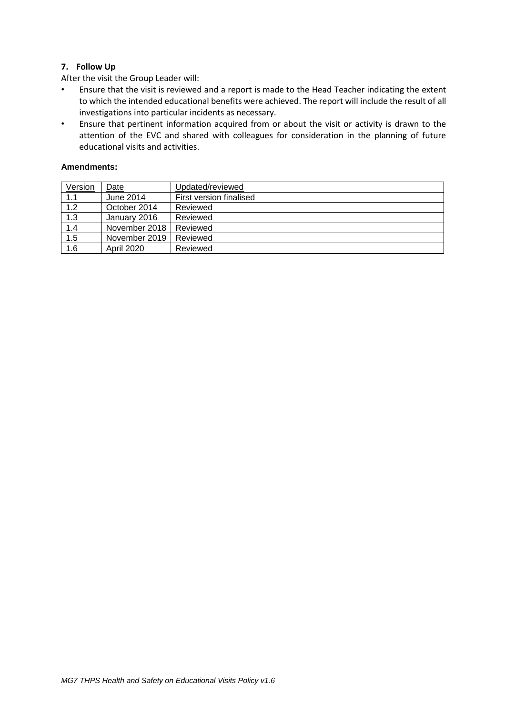# **7. Follow Up**

After the visit the Group Leader will:

- Ensure that the visit is reviewed and a report is made to the Head Teacher indicating the extent to which the intended educational benefits were achieved. The report will include the result of all investigations into particular incidents as necessary.
- Ensure that pertinent information acquired from or about the visit or activity is drawn to the attention of the EVC and shared with colleagues for consideration in the planning of future educational visits and activities.

#### **Amendments:**

| Version | Date              | Updated/reviewed        |
|---------|-------------------|-------------------------|
| 1.1     | June 2014         | First version finalised |
| 1.2     | October 2014      | Reviewed                |
| 1.3     | January 2016      | Reviewed                |
| 1.4     | November 2018     | Reviewed                |
| 1.5     | November 2019     | Reviewed                |
| 1.6     | <b>April 2020</b> | Reviewed                |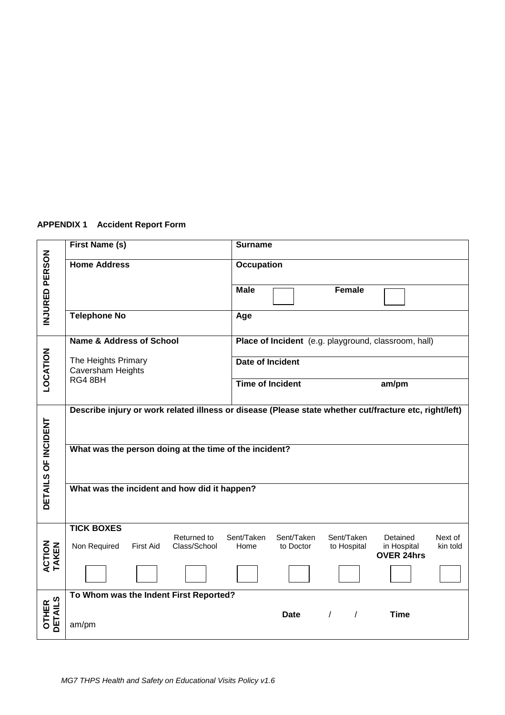# **APPENDIX 1 Accident Report Form**

|                          | First Name (s)                                                                                         | <b>Surname</b>                                                             |                                                                     |  |  |
|--------------------------|--------------------------------------------------------------------------------------------------------|----------------------------------------------------------------------------|---------------------------------------------------------------------|--|--|
| INJURED PERSON           | <b>Home Address</b>                                                                                    | <b>Occupation</b>                                                          |                                                                     |  |  |
|                          |                                                                                                        | <b>Male</b><br>Female                                                      |                                                                     |  |  |
|                          | <b>Telephone No</b>                                                                                    | Age                                                                        |                                                                     |  |  |
|                          | <b>Name &amp; Address of School</b>                                                                    | Place of Incident (e.g. playground, classroom, hall)                       |                                                                     |  |  |
| LOCATION                 | The Heights Primary<br>Caversham Heights                                                               | Date of Incident                                                           |                                                                     |  |  |
|                          | RG4 8BH                                                                                                | <b>Time of Incident</b>                                                    | am/pm                                                               |  |  |
|                          | Describe injury or work related illness or disease (Please state whether cut/fracture etc, right/left) |                                                                            |                                                                     |  |  |
| DETAILS OF INCIDENT      | What was the person doing at the time of the incident?                                                 |                                                                            |                                                                     |  |  |
|                          | What was the incident and how did it happen?                                                           |                                                                            |                                                                     |  |  |
| ACTION<br>TAKEN          | <b>TICK BOXES</b><br>Returned to<br>Non Required<br>Class/School<br><b>First Aid</b>                   | Sent/Taken<br>Sent/Taken<br>Sent/Taken<br>Home<br>to Doctor<br>to Hospital | Next of<br>Detained<br>kin told<br>in Hospital<br><b>OVER 24hrs</b> |  |  |
|                          |                                                                                                        |                                                                            |                                                                     |  |  |
|                          | To Whom was the Indent First Reported?                                                                 |                                                                            |                                                                     |  |  |
| <b>OTHER<br/>DETAILS</b> | am/pm                                                                                                  | <b>Date</b><br>$\prime$<br>$\prime$                                        | <b>Time</b>                                                         |  |  |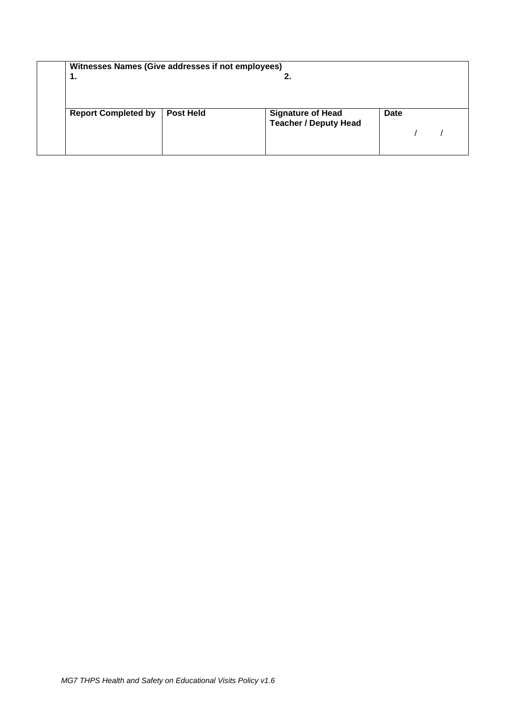| Witnesses Names (Give addresses if not employees) |                  |                              |             |  |
|---------------------------------------------------|------------------|------------------------------|-------------|--|
| 1.                                                |                  | z.                           |             |  |
|                                                   |                  |                              |             |  |
|                                                   |                  |                              |             |  |
|                                                   |                  |                              |             |  |
| <b>Report Completed by</b>                        | <b>Post Held</b> | <b>Signature of Head</b>     | <b>Date</b> |  |
|                                                   |                  | <b>Teacher / Deputy Head</b> |             |  |
|                                                   |                  |                              |             |  |
|                                                   |                  |                              |             |  |
|                                                   |                  |                              |             |  |